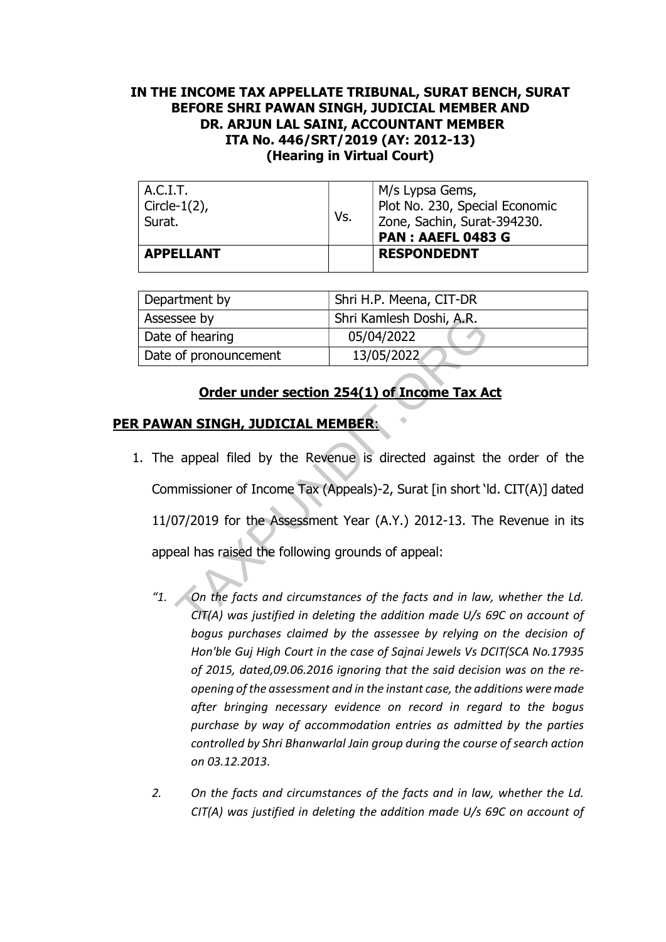## IN THE INCOME TAX APPELLATE TRIBUNAL, SURAT BENCH, SURAT BEFORE SHRI PAWAN SINGH, JUDICIAL MEMBER AND DR. ARJUN LAL SAINI, ACCOUNTANT MEMBER ITA No. 446/SRT/2019 (AY: 2012-13) (Hearing in Virtual Court)

| A.C.I.T.<br>$\vert$ Circle-1(2),<br>Surat. | Vs. | M/s Lypsa Gems,<br>Plot No. 230, Special Economic<br>Zone, Sachin, Surat-394230.<br>PAN: AAEFL 0483 G |
|--------------------------------------------|-----|-------------------------------------------------------------------------------------------------------|
| <b>APPELLANT</b>                           |     | <b>RESPONDEDNT</b>                                                                                    |

| Department by         | Shri H.P. Meena, CIT-DR  |  |
|-----------------------|--------------------------|--|
| Assessee by           | Shri Kamlesh Doshi, A.R. |  |
| Date of hearing       | 05/04/2022               |  |
| Date of pronouncement | 13/05/2022               |  |

## Order under section 254(1) of Income Tax Act

## PER PAWAN SINGH, JUDICIAL MEMBER:

- 1. The appeal filed by the Revenue is directed against the order of the Commissioner of Income Tax (Appeals)-2, Surat [in short 'ld. CIT(A)] dated 11/07/2019 for the Assessment Year (A.Y.) 2012-13. The Revenue in its appeal has raised the following grounds of appeal: Similarly Shri Kamlesh Doshi, A.R.<br>
of hearing 05/04/2022<br>
of pronouncement 13/05/2022<br> **Order under section 254(1) of Income Tax A**<br> **AN SINGH, JUDICIAL MEMBER:**<br>
appeal filed by the Revenue is directed against the<br>
miss
	- "1. On the facts and circumstances of the facts and in law, whether the Ld. CIT(A) was justified in deleting the addition made U/s 69C on account of bogus purchases claimed by the assessee by relying on the decision of Hon'ble Guj High Court in the case of Sajnai Jewels Vs DCIT(SCA No.17935 of 2015, dated,09.06.2016 ignoring that the said decision was on the reopening of the assessment and in the instant case, the additions were made after bringing necessary evidence on record in regard to the bogus purchase by way of accommodation entries as admitted by the parties controlled by Shri Bhanwarlal Jain group during the course of search action on 03.12.2013.
	- 2. On the facts and circumstances of the facts and in law, whether the Ld. CIT(A) was justified in deleting the addition made U/s 69C on account of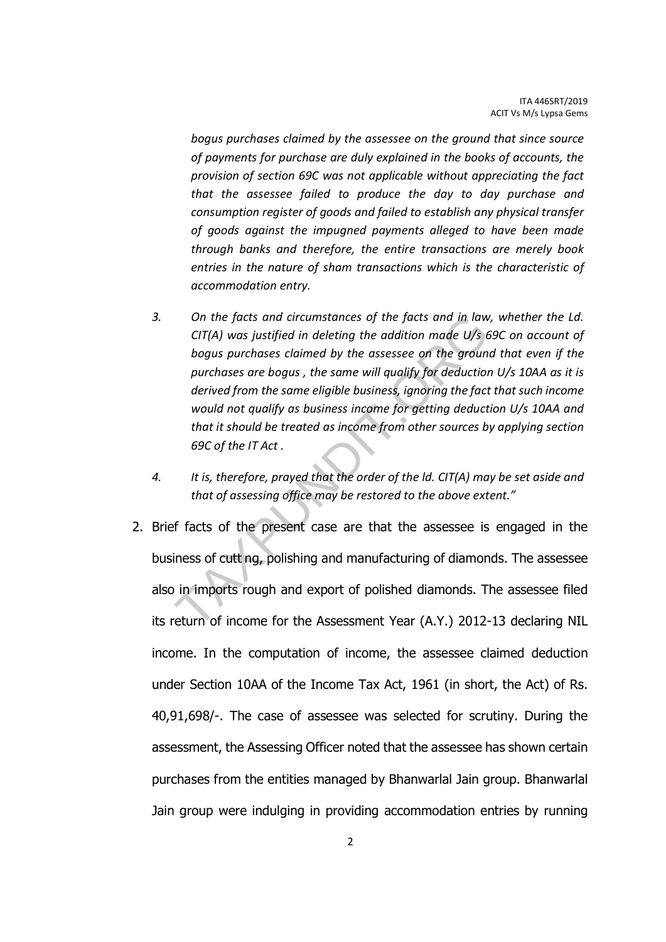bogus purchases claimed by the assessee on the ground that since source of payments for purchase are duly explained in the books of accounts, the provision of section 69C was not applicable without appreciating the fact that the assessee failed to produce the day to day purchase and consumption register of goods and failed to establish any physical transfer of goods against the impugned payments alleged to have been made through banks and therefore, the entire transactions are merely book entries in the nature of sham transactions which is the characteristic of accommodation entry.

- 3. On the facts and circumstances of the facts and in law, whether the Ld. CIT(A) was justified in deleting the addition made U/s 69C on account of bogus purchases claimed by the assessee on the ground that even if the purchases are bogus , the same will qualify for deduction U/s 10AA as it is derived from the same eligible business, ignoring the fact that such income would not qualify as business income for getting deduction U/s 10AA and that it should be treated as income from other sources by applying section 69C of the IT Act . On the facts and circumstances of the facts and in law<br>CIT(A) was justified in deleting the addition made U/s to<br>bogus purchases claimed by the assessee on the groun<br>purchases are bogus, the same will qualify for deductio
- 4. It is, therefore, prayed that the order of the ld. CIT(A) may be set aside and that of assessing office may be restored to the above extent."
- 2. Brief facts of the present case are that the assessee is engaged in the business of cutt ng, polishing and manufacturing of diamonds. The assessee also in imports rough and export of polished diamonds. The assessee filed its return of income for the Assessment Year (A.Y.) 2012-13 declaring NIL income. In the computation of income, the assessee claimed deduction under Section 10AA of the Income Tax Act, 1961 (in short, the Act) of Rs. 40,91,698/-. The case of assessee was selected for scrutiny. During the assessment, the Assessing Officer noted that the assessee has shown certain purchases from the entities managed by Bhanwarlal Jain group. Bhanwarlal Jain group were indulging in providing accommodation entries by running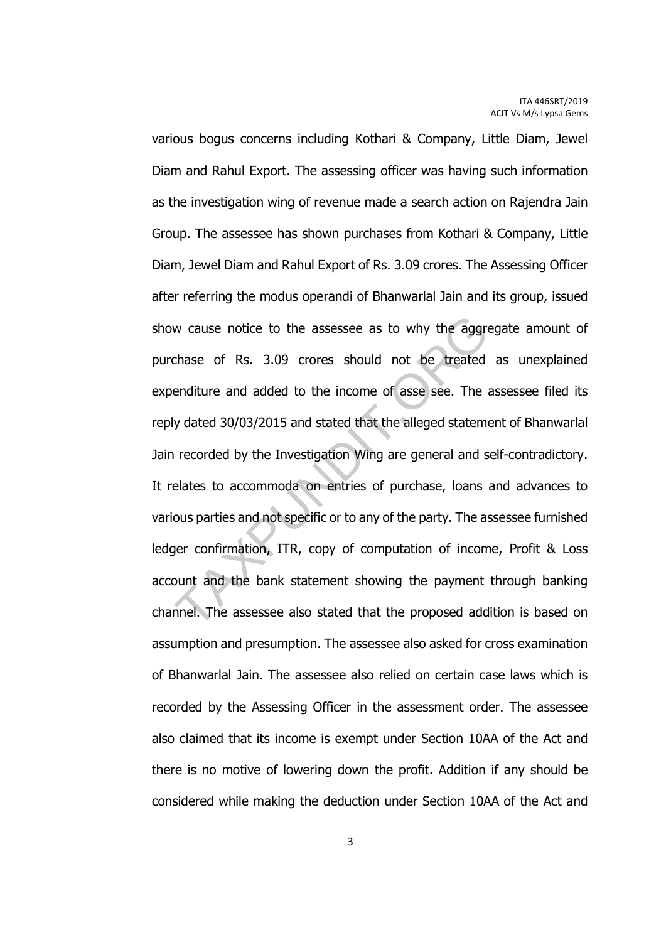various bogus concerns including Kothari & Company, Little Diam, Jewel Diam and Rahul Export. The assessing officer was having such information as the investigation wing of revenue made a search action on Rajendra Jain Group. The assessee has shown purchases from Kothari & Company, Little Diam, Jewel Diam and Rahul Export of Rs. 3.09 crores. The Assessing Officer after referring the modus operandi of Bhanwarlal Jain and its group, issued show cause notice to the assessee as to why the aggregate amount of purchase of Rs. 3.09 crores should not be treated as unexplained expenditure and added to the income of asse see. The assessee filed its reply dated 30/03/2015 and stated that the alleged statement of Bhanwarlal Jain recorded by the Investigation Wing are general and self-contradictory. It relates to accommoda on entries of purchase, loans and advances to various parties and not specific or to any of the party. The assessee furnished ledger confirmation, ITR, copy of computation of income, Profit & Loss account and the bank statement showing the payment through banking channel. The assessee also stated that the proposed addition is based on assumption and presumption. The assessee also asked for cross examination of Bhanwarlal Jain. The assessee also relied on certain case laws which is recorded by the Assessing Officer in the assessment order. The assessee also claimed that its income is exempt under Section 10AA of the Act and there is no motive of lowering down the profit. Addition if any should be considered while making the deduction under Section 10AA of the Act and w cause notice to the assessee as to why the aggre<br>chase of Rs. 3.09 crores should not be treated<br>enditure and added to the income of asse see. The<br>y dated 30/03/2015 and stated that the alleged statem<br>recorded by the Inve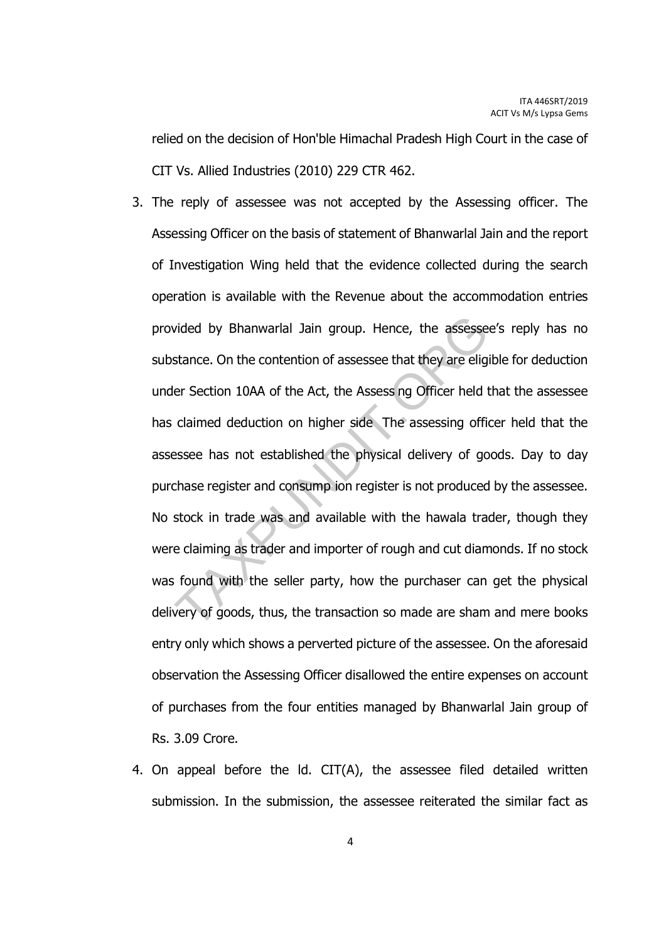relied on the decision of Hon'ble Himachal Pradesh High Court in the case of CIT Vs. Allied Industries (2010) 229 CTR 462.

- 3. The reply of assessee was not accepted by the Assessing officer. The Assessing Officer on the basis of statement of Bhanwarlal Jain and the report of Investigation Wing held that the evidence collected during the search operation is available with the Revenue about the accommodation entries provided by Bhanwarlal Jain group. Hence, the assessee's reply has no substance. On the contention of assessee that they are eligible for deduction under Section 10AA of the Act, the Assess ng Officer held that the assessee has claimed deduction on higher side The assessing officer held that the assessee has not established the physical delivery of goods. Day to day purchase register and consump ion register is not produced by the assessee. No stock in trade was and available with the hawala trader, though they were claiming as trader and importer of rough and cut diamonds. If no stock was found with the seller party, how the purchaser can get the physical delivery of goods, thus, the transaction so made are sham and mere books entry only which shows a perverted picture of the assessee. On the aforesaid observation the Assessing Officer disallowed the entire expenses on account of purchases from the four entities managed by Bhanwarlal Jain group of Rs. 3.09 Crore. ided by Bhanwarlal Jain group. Hence, the assesse<br>stance. On the contention of assessee that they are elig<br>er Section 10AA of the Act, the Assess ng Officer held i<br>claimed deduction on higher side. The assessing office<br>sse
- 4. On appeal before the ld. CIT(A), the assessee filed detailed written submission. In the submission, the assessee reiterated the similar fact as

4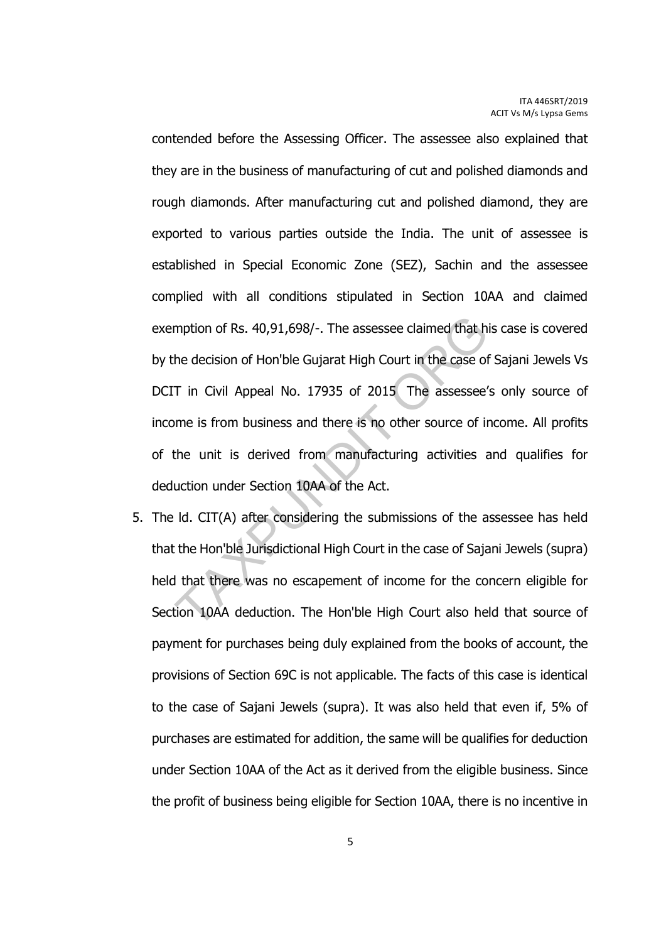contended before the Assessing Officer. The assessee also explained that they are in the business of manufacturing of cut and polished diamonds and rough diamonds. After manufacturing cut and polished diamond, they are exported to various parties outside the India. The unit of assessee is established in Special Economic Zone (SEZ), Sachin and the assessee complied with all conditions stipulated in Section 10AA and claimed exemption of Rs. 40,91,698/-. The assessee claimed that his case is covered by the decision of Hon'ble Gujarat High Court in the case of Sajani Jewels Vs DCIT in Civil Appeal No. 17935 of 2015 The assessee's only source of income is from business and there is no other source of income. All profits of the unit is derived from manufacturing activities and qualifies for deduction under Section 10AA of the Act. mption of Rs. 40,91,698/-. The assessee claimed that h<br>he decision of Hon'ble Gujarat High Court in the case of<br>T in Civil Appeal No. 17935 of 2015 The assessee'<br>ome is from business and there is no other source of in<br>the

5. The ld. CIT(A) after considering the submissions of the assessee has held that the Hon'ble Jurisdictional High Court in the case of Sajani Jewels (supra) held that there was no escapement of income for the concern eligible for Section 10AA deduction. The Hon'ble High Court also held that source of payment for purchases being duly explained from the books of account, the provisions of Section 69C is not applicable. The facts of this case is identical to the case of Sajani Jewels (supra). It was also held that even if, 5% of purchases are estimated for addition, the same will be qualifies for deduction under Section 10AA of the Act as it derived from the eligible business. Since the profit of business being eligible for Section 10AA, there is no incentive in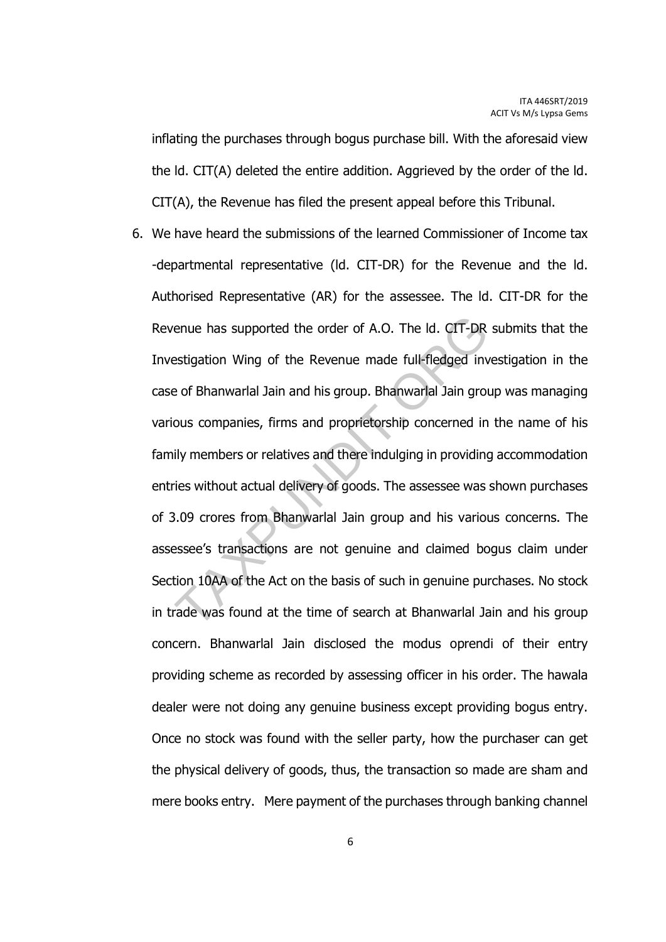inflating the purchases through bogus purchase bill. With the aforesaid view the ld. CIT(A) deleted the entire addition. Aggrieved by the order of the ld. CIT(A), the Revenue has filed the present appeal before this Tribunal.

6. We have heard the submissions of the learned Commissioner of Income tax -departmental representative (ld. CIT-DR) for the Revenue and the ld. Authorised Representative (AR) for the assessee. The ld. CIT-DR for the Revenue has supported the order of A.O. The ld. CIT-DR submits that the Investigation Wing of the Revenue made full-fledged investigation in the case of Bhanwarlal Jain and his group. Bhanwarlal Jain group was managing various companies, firms and proprietorship concerned in the name of his family members or relatives and there indulging in providing accommodation entries without actual delivery of goods. The assessee was shown purchases of 3.09 crores from Bhanwarlal Jain group and his various concerns. The assessee's transactions are not genuine and claimed bogus claim under Section 10AA of the Act on the basis of such in genuine purchases. No stock in trade was found at the time of search at Bhanwarlal Jain and his group concern. Bhanwarlal Jain disclosed the modus oprendi of their entry providing scheme as recorded by assessing officer in his order. The hawala dealer were not doing any genuine business except providing bogus entry. Once no stock was found with the seller party, how the purchaser can get the physical delivery of goods, thus, the transaction so made are sham and mere books entry. Mere payment of the purchases through banking channel enue has supported the order of A.O. The ld. CIT-DR<br>estigation Wing of the Revenue made full-fledged invertigation Wing of the Revenue made full-fledged invertigated in<br>exposition of the Revenue made full-fledged invertiga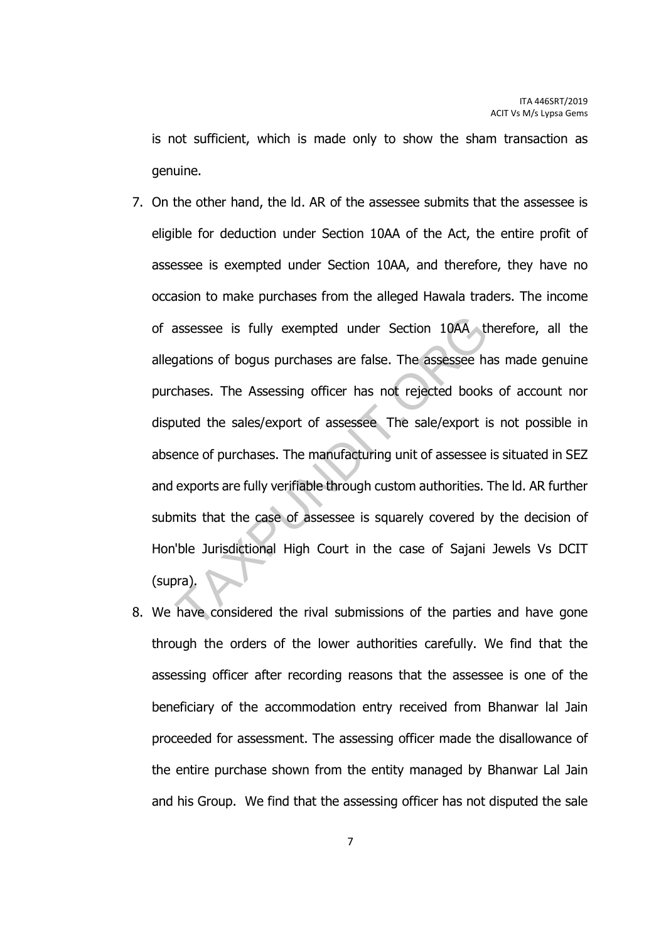is not sufficient, which is made only to show the sham transaction as genuine.

- 7. On the other hand, the ld. AR of the assessee submits that the assessee is eligible for deduction under Section 10AA of the Act, the entire profit of assessee is exempted under Section 10AA, and therefore, they have no occasion to make purchases from the alleged Hawala traders. The income of assessee is fully exempted under Section 10AA therefore, all the allegations of bogus purchases are false. The assessee has made genuine purchases. The Assessing officer has not rejected books of account nor disputed the sales/export of assessee The sale/export is not possible in absence of purchases. The manufacturing unit of assessee is situated in SEZ and exports are fully verifiable through custom authorities. The ld. AR further submits that the case of assessee is squarely covered by the decision of Hon'ble Jurisdictional High Court in the case of Sajani Jewels Vs DCIT (supra). assessee is fully exempted under Section 10AA the distance of bogus purchases are false. The assessee his chases. The Assessing officer has not rejected books butted the sales/export of assessee The sale/export is ence of
- 8. We have considered the rival submissions of the parties and have gone through the orders of the lower authorities carefully. We find that the assessing officer after recording reasons that the assessee is one of the beneficiary of the accommodation entry received from Bhanwar lal Jain proceeded for assessment. The assessing officer made the disallowance of the entire purchase shown from the entity managed by Bhanwar Lal Jain and his Group. We find that the assessing officer has not disputed the sale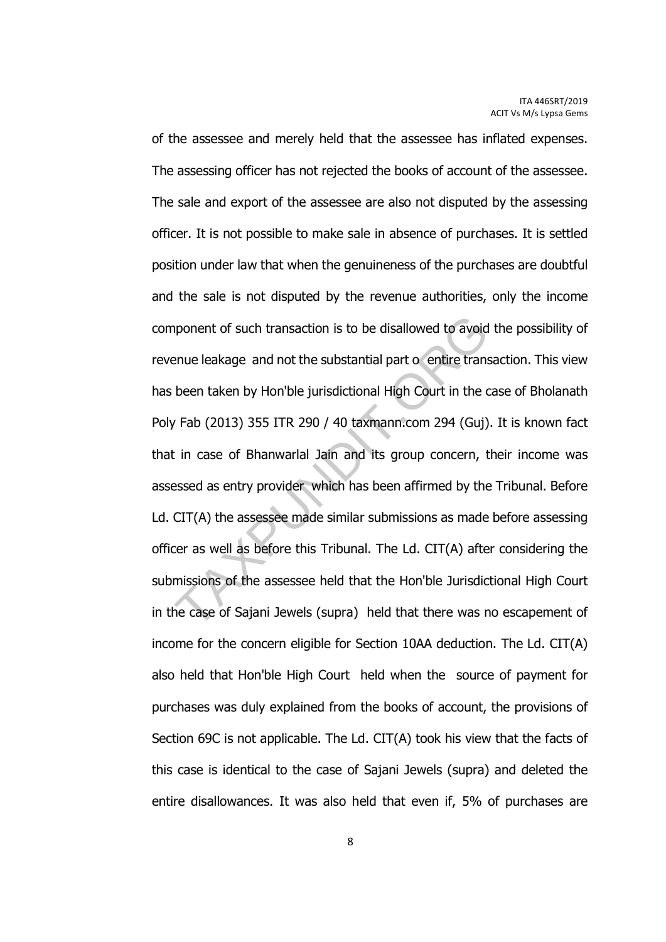of the assessee and merely held that the assessee has inflated expenses. The assessing officer has not rejected the books of account of the assessee. The sale and export of the assessee are also not disputed by the assessing officer. It is not possible to make sale in absence of purchases. It is settled position under law that when the genuineness of the purchases are doubtful and the sale is not disputed by the revenue authorities, only the income component of such transaction is to be disallowed to avoid the possibility of revenue leakage and not the substantial part o entire transaction. This view has been taken by Hon'ble jurisdictional High Court in the case of Bholanath Poly Fab (2013) 355 ITR 290 / 40 taxmann.com 294 (Guj). It is known fact that in case of Bhanwarlal Jain and its group concern, their income was assessed as entry provider which has been affirmed by the Tribunal. Before Ld. CIT(A) the assessee made similar submissions as made before assessing officer as well as before this Tribunal. The Ld. CIT(A) after considering the submissions of the assessee held that the Hon'ble Jurisdictional High Court in the case of Sajani Jewels (supra) held that there was no escapement of income for the concern eligible for Section 10AA deduction. The Ld. CIT(A) also held that Hon'ble High Court held when the source of payment for purchases was duly explained from the books of account, the provisions of Section 69C is not applicable. The Ld. CIT(A) took his view that the facts of this case is identical to the case of Sajani Jewels (supra) and deleted the entire disallowances. It was also held that even if, 5% of purchases are apponent of such transaction is to be disallowed to avoid<br>
enue leakage and not the substantial part o entire trans<br>
been taken by Hon'ble jurisdictional High Court in the c<br>
Fab (2013) 355 ITR 290 / 40 taxmann.com 294 (Gu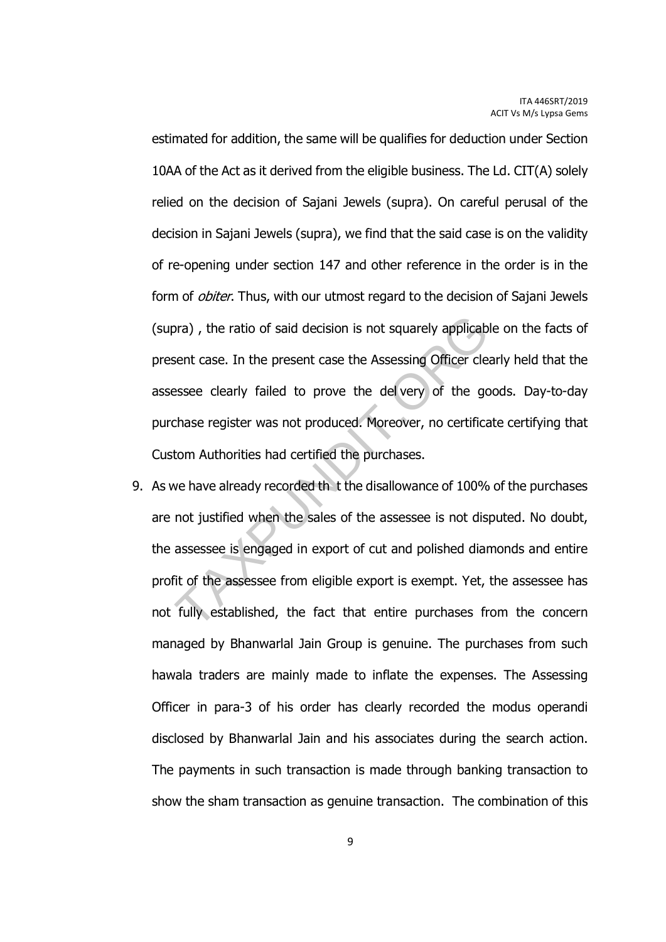estimated for addition, the same will be qualifies for deduction under Section 10AA of the Act as it derived from the eligible business. The Ld. CIT(A) solely relied on the decision of Sajani Jewels (supra). On careful perusal of the decision in Sajani Jewels (supra), we find that the said case is on the validity of re-opening under section 147 and other reference in the order is in the form of *obiter*. Thus, with our utmost regard to the decision of Sajani Jewels (supra) , the ratio of said decision is not squarely applicable on the facts of present case. In the present case the Assessing Officer clearly held that the assessee clearly failed to prove the del very of the goods. Day-to-day purchase register was not produced. Moreover, no certificate certifying that Custom Authorities had certified the purchases.

9. As we have already recorded th t the disallowance of 100% of the purchases are not justified when the sales of the assessee is not disputed. No doubt, the assessee is engaged in export of cut and polished diamonds and entire profit of the assessee from eligible export is exempt. Yet, the assessee has not fully established, the fact that entire purchases from the concern managed by Bhanwarlal Jain Group is genuine. The purchases from such hawala traders are mainly made to inflate the expenses. The Assessing Officer in para-3 of his order has clearly recorded the modus operandi disclosed by Bhanwarlal Jain and his associates during the search action. The payments in such transaction is made through banking transaction to show the sham transaction as genuine transaction. The combination of this board according is not squarely applicable sent case. In the present case the Assessing Officer clear sessee clearly failed to prove the del very of the get chase register was not produced. Moreover, no certification Autho